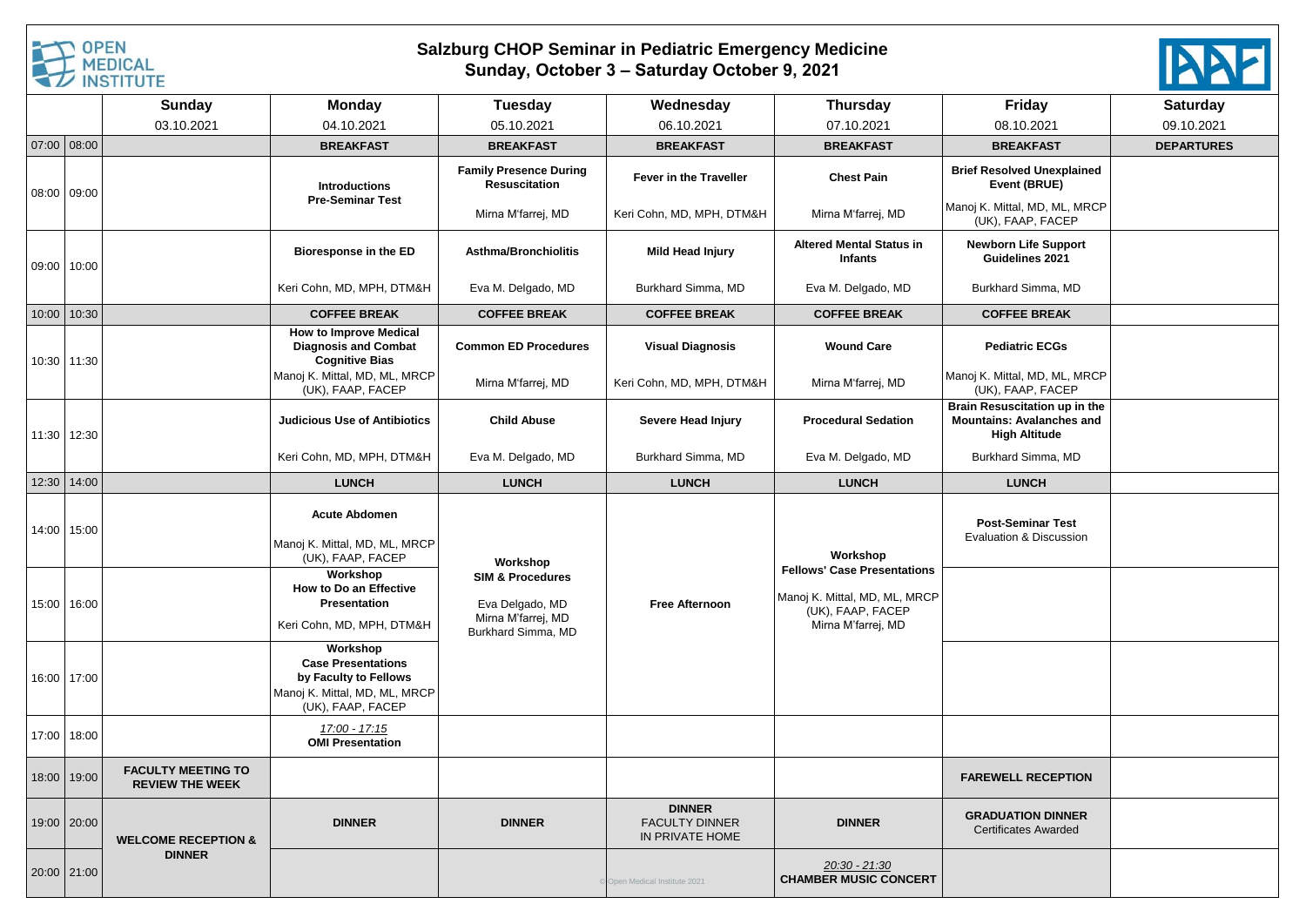

## **Salzburg CHOP Seminar in Pediatric Emergency Medicine Sunday, October 3 – Saturday October 9, 2021**



|       |             | <b>Sunday</b>                                       | <b>Monday</b>                                                                                                        | <b>Tuesday</b>                                                                             | Wednesday                                                 | <b>Thursday</b>                                                                                                | Friday                                                                                    | <b>Saturday</b>   |
|-------|-------------|-----------------------------------------------------|----------------------------------------------------------------------------------------------------------------------|--------------------------------------------------------------------------------------------|-----------------------------------------------------------|----------------------------------------------------------------------------------------------------------------|-------------------------------------------------------------------------------------------|-------------------|
|       |             | 03.10.2021                                          | 04.10.2021                                                                                                           | 05.10.2021                                                                                 | 06.10.2021                                                | 07.10.2021                                                                                                     | 08.10.2021                                                                                | 09.10.2021        |
|       | 07:00 08:00 |                                                     | <b>BREAKFAST</b>                                                                                                     | <b>BREAKFAST</b>                                                                           | <b>BREAKFAST</b>                                          | <b>BREAKFAST</b>                                                                                               | <b>BREAKFAST</b>                                                                          | <b>DEPARTURES</b> |
|       | 08:00 09:00 |                                                     | <b>Introductions</b><br><b>Pre-Seminar Test</b>                                                                      | <b>Family Presence During</b><br><b>Resuscitation</b>                                      | <b>Fever in the Traveller</b>                             | <b>Chest Pain</b>                                                                                              | <b>Brief Resolved Unexplained</b><br>Event (BRUE)                                         |                   |
|       |             |                                                     |                                                                                                                      | Mirna M'farrej, MD                                                                         | Keri Cohn, MD, MPH, DTM&H                                 | Mirna M'farrej, MD                                                                                             | Manoj K. Mittal, MD, ML, MRCP<br>(UK), FAAP, FACEP                                        |                   |
|       | 09:00 10:00 |                                                     | <b>Bioresponse in the ED</b>                                                                                         | <b>Asthma/Bronchiolitis</b>                                                                | Mild Head Injury                                          | <b>Altered Mental Status in</b><br><b>Infants</b>                                                              | <b>Newborn Life Support</b><br>Guidelines 2021                                            |                   |
|       |             |                                                     | Keri Cohn, MD, MPH, DTM&H                                                                                            | Eva M. Delgado, MD                                                                         | Burkhard Simma, MD                                        | Eva M. Delgado, MD                                                                                             | Burkhard Simma, MD                                                                        |                   |
| 10:00 | 10:30       |                                                     | <b>COFFEE BREAK</b>                                                                                                  | <b>COFFEE BREAK</b>                                                                        | <b>COFFEE BREAK</b>                                       | <b>COFFEE BREAK</b>                                                                                            | <b>COFFEE BREAK</b>                                                                       |                   |
|       | 10:30 11:30 |                                                     | <b>How to Improve Medical</b><br><b>Diagnosis and Combat</b><br><b>Cognitive Bias</b>                                | <b>Common ED Procedures</b>                                                                | <b>Visual Diagnosis</b>                                   | <b>Wound Care</b>                                                                                              | <b>Pediatric ECGs</b>                                                                     |                   |
|       |             |                                                     | Manoj K. Mittal, MD, ML, MRCP<br>(UK), FAAP, FACEP                                                                   | Mirna M'farrej, MD                                                                         | Keri Cohn, MD, MPH, DTM&H                                 | Mirna M'farrej, MD                                                                                             | Manoj K. Mittal, MD, ML, MRCP<br>(UK), FAAP, FACEP                                        |                   |
|       | 11:30 12:30 |                                                     | <b>Judicious Use of Antibiotics</b>                                                                                  | <b>Child Abuse</b>                                                                         | Severe Head Injury                                        | <b>Procedural Sedation</b>                                                                                     | Brain Resuscitation up in the<br><b>Mountains: Avalanches and</b><br><b>High Altitude</b> |                   |
|       |             |                                                     | Keri Cohn, MD, MPH, DTM&H                                                                                            | Eva M. Delgado, MD                                                                         | Burkhard Simma, MD                                        | Eva M. Delgado, MD                                                                                             | Burkhard Simma, MD                                                                        |                   |
|       | 12:30 14:00 |                                                     | <b>LUNCH</b>                                                                                                         | <b>LUNCH</b>                                                                               | <b>LUNCH</b>                                              | <b>LUNCH</b>                                                                                                   | <b>LUNCH</b>                                                                              |                   |
|       | 14:00 15:00 |                                                     | <b>Acute Abdomen</b><br>Manoj K. Mittal, MD, ML, MRCP<br>(UK), FAAP, FACEP                                           | Workshop                                                                                   |                                                           | Workshop                                                                                                       | <b>Post-Seminar Test</b><br>Evaluation & Discussion                                       |                   |
| 15:00 | 16:00       |                                                     | Workshop<br>How to Do an Effective<br>Presentation<br>Keri Cohn, MD, MPH, DTM&H                                      | <b>SIM &amp; Procedures</b><br>Eva Delgado, MD<br>Mirna M'farrej, MD<br>Burkhard Simma, MD | <b>Free Afternoon</b>                                     | <b>Fellows' Case Presentations</b><br>Manoj K. Mittal, MD, ML, MRCP<br>(UK), FAAP, FACEP<br>Mirna M'farrej, MD |                                                                                           |                   |
|       | 16:00 17:00 |                                                     | Workshop<br><b>Case Presentations</b><br>by Faculty to Fellows<br>Manoj K. Mittal, MD, ML, MRCP<br>(UK), FAAP, FACEP |                                                                                            |                                                           |                                                                                                                |                                                                                           |                   |
|       | 17:00 18:00 |                                                     | 17:00 - 17:15<br><b>OMI Presentation</b>                                                                             |                                                                                            |                                                           |                                                                                                                |                                                                                           |                   |
| 18:00 | 19:00       | <b>FACULTY MEETING TO</b><br><b>REVIEW THE WEEK</b> |                                                                                                                      |                                                                                            |                                                           |                                                                                                                | <b>FAREWELL RECEPTION</b>                                                                 |                   |
|       | 19:00 20:00 | <b>WELCOME RECEPTION &amp;</b><br><b>DINNER</b>     | <b>DINNER</b>                                                                                                        | <b>DINNER</b>                                                                              | <b>DINNER</b><br><b>FACULTY DINNER</b><br>IN PRIVATE HOME | <b>DINNER</b>                                                                                                  | <b>GRADUATION DINNER</b><br><b>Certificates Awarded</b>                                   |                   |
|       | 20:00 21:00 |                                                     |                                                                                                                      |                                                                                            | Open Medical Institute 2021                               | <u> 20:30 - 21:30</u><br><b>CHAMBER MUSIC CONCERT</b>                                                          |                                                                                           |                   |